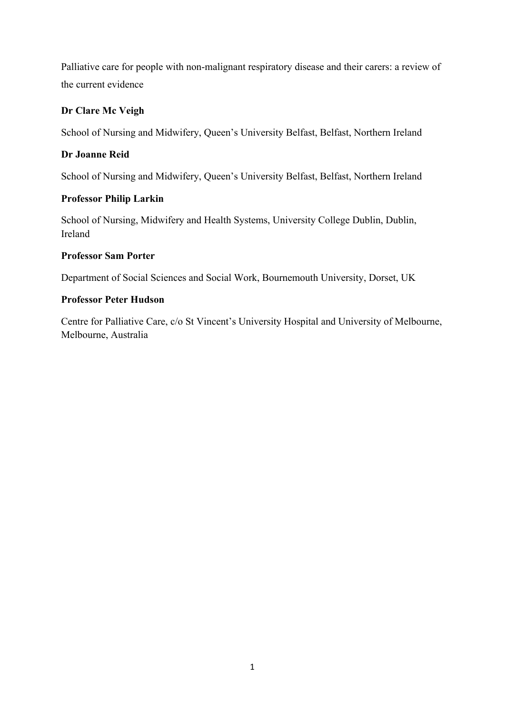Palliative care for people with non-malignant respiratory disease and their carers: a review of the current evidence

# **Dr Clare Mc Veigh**

School of Nursing and Midwifery, Queen's University Belfast, Belfast, Northern Ireland

# **Dr Joanne Reid**

School of Nursing and Midwifery, Queen's University Belfast, Belfast, Northern Ireland

# **Professor Philip Larkin**

School of Nursing, Midwifery and Health Systems, University College Dublin, Dublin, Ireland

# **Professor Sam Porter**

Department of Social Sciences and Social Work, Bournemouth University, Dorset, UK

# **Professor Peter Hudson**

Centre for Palliative Care, c/o St Vincent's University Hospital and University of Melbourne, Melbourne, Australia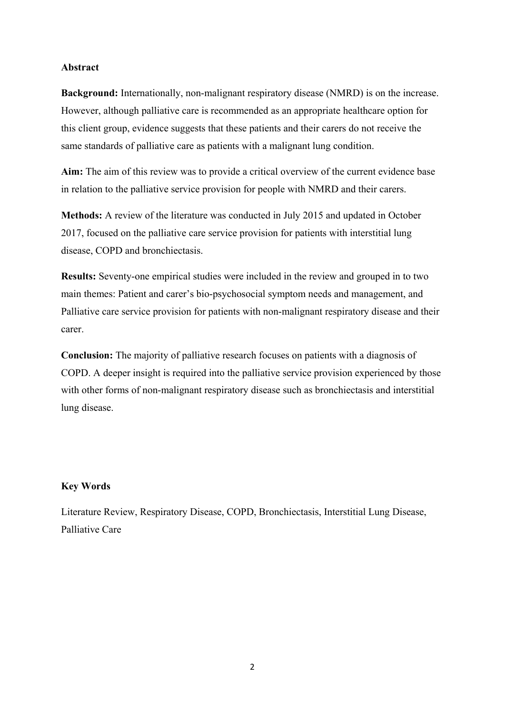### **Abstract**

**Background:** Internationally, non-malignant respiratory disease (NMRD) is on the increase. However, although palliative care is recommended as an appropriate healthcare option for this client group, evidence suggests that these patients and their carers do not receive the same standards of palliative care as patients with a malignant lung condition.

**Aim:** The aim of this review was to provide a critical overview of the current evidence base in relation to the palliative service provision for people with NMRD and their carers.

**Methods:** A review of the literature was conducted in July 2015 and updated in October 2017, focused on the palliative care service provision for patients with interstitial lung disease, COPD and bronchiectasis.

**Results:** Seventy-one empirical studies were included in the review and grouped in to two main themes: Patient and carer's bio-psychosocial symptom needs and management, and Palliative care service provision for patients with non-malignant respiratory disease and their carer.

**Conclusion:** The majority of palliative research focuses on patients with a diagnosis of COPD. A deeper insight is required into the palliative service provision experienced by those with other forms of non-malignant respiratory disease such as bronchiectasis and interstitial lung disease.

### **Key Words**

Literature Review, Respiratory Disease, COPD, Bronchiectasis, Interstitial Lung Disease, Palliative Care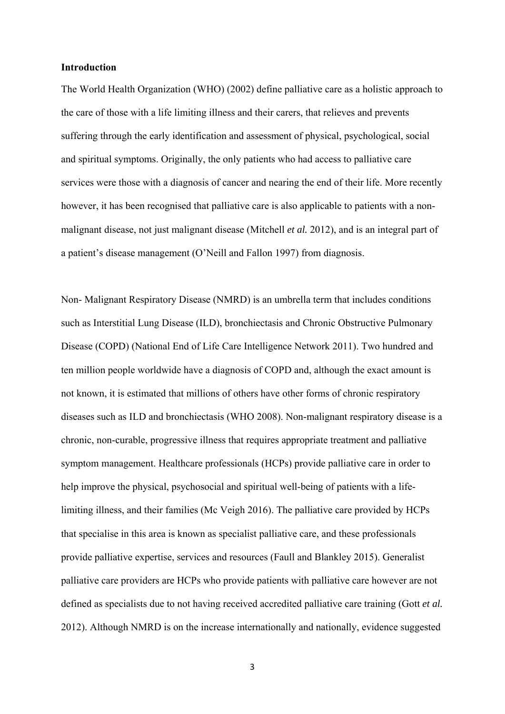#### **Introduction**

The World Health Organization (WHO) (2002) define palliative care as a holistic approach to the care of those with a life limiting illness and their carers, that relieves and prevents suffering through the early identification and assessment of physical, psychological, social and spiritual symptoms. Originally, the only patients who had access to palliative care services were those with a diagnosis of cancer and nearing the end of their life. More recently however, it has been recognised that palliative care is also applicable to patients with a nonmalignant disease, not just malignant disease (Mitchell *et al.* 2012), and is an integral part of a patient's disease management (O'Neill and Fallon 1997) from diagnosis.

Non- Malignant Respiratory Disease (NMRD) is an umbrella term that includes conditions such as Interstitial Lung Disease (ILD), bronchiectasis and Chronic Obstructive Pulmonary Disease (COPD) (National End of Life Care Intelligence Network 2011). Two hundred and ten million people worldwide have a diagnosis of COPD and, although the exact amount is not known, it is estimated that millions of others have other forms of chronic respiratory diseases such as ILD and bronchiectasis (WHO 2008). Non-malignant respiratory disease is a chronic, non-curable, progressive illness that requires appropriate treatment and palliative symptom management. Healthcare professionals (HCPs) provide palliative care in order to help improve the physical, psychosocial and spiritual well-being of patients with a lifelimiting illness, and their families (Mc Veigh 2016). The palliative care provided by HCPs that specialise in this area is known as specialist palliative care, and these professionals provide palliative expertise, services and resources (Faull and Blankley 2015). Generalist palliative care providers are HCPs who provide patients with palliative care however are not defined as specialists due to not having received accredited palliative care training (Gott *et al.*  2012). Although NMRD is on the increase internationally and nationally, evidence suggested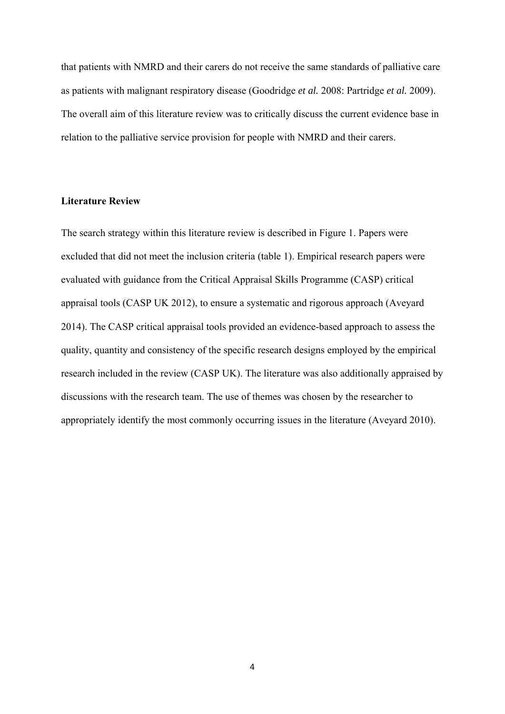that patients with NMRD and their carers do not receive the same standards of palliative care as patients with malignant respiratory disease (Goodridge *et al.* 2008: Partridge *et al.* 2009). The overall aim of this literature review was to critically discuss the current evidence base in relation to the palliative service provision for people with NMRD and their carers.

## **Literature Review**

The search strategy within this literature review is described in Figure 1. Papers were excluded that did not meet the inclusion criteria (table 1). Empirical research papers were evaluated with guidance from the Critical Appraisal Skills Programme (CASP) critical appraisal tools (CASP UK 2012), to ensure a systematic and rigorous approach (Aveyard 2014). The CASP critical appraisal tools provided an evidence-based approach to assess the quality, quantity and consistency of the specific research designs employed by the empirical research included in the review (CASP UK). The literature was also additionally appraised by discussions with the research team. The use of themes was chosen by the researcher to appropriately identify the most commonly occurring issues in the literature (Aveyard 2010).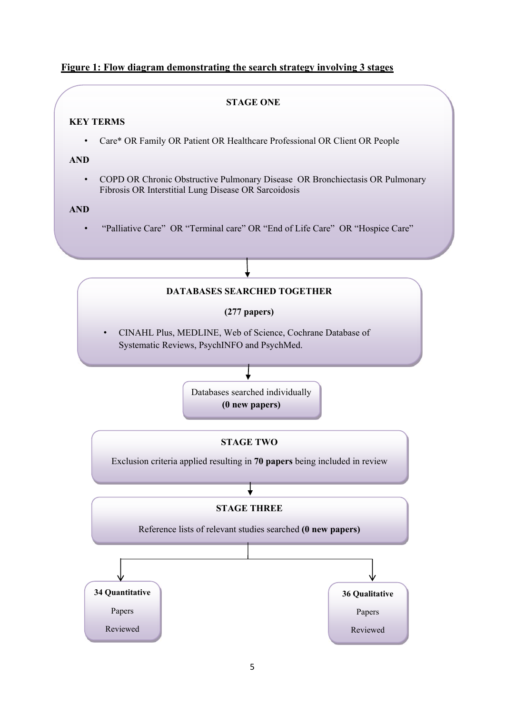## **Figure 1: Flow diagram demonstrating the search strategy involving 3 stages**

#### **STAGE ONE**

#### **KEY TERMS**

• Care\* OR Family OR Patient OR Healthcare Professional OR Client OR People

### **AND**

• COPD OR Chronic Obstructive Pulmonary Disease OR Bronchiectasis OR Pulmonary Fibrosis OR Interstitial Lung Disease OR Sarcoidosis

### **AND**

• "Palliative Care" OR "Terminal care" OR "End of Life Care" OR "Hospice Care"

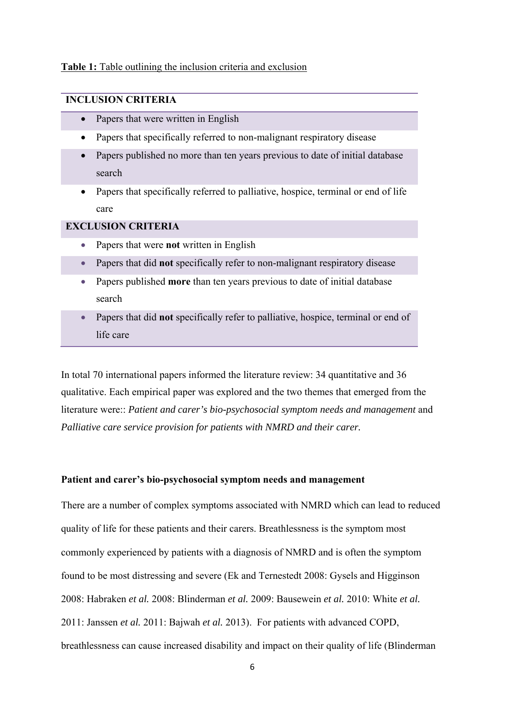#### **Table 1:** Table outlining the inclusion criteria and exclusion

## **INCLUSION CRITERIA**

- Papers that were written in English
- Papers that specifically referred to non-malignant respiratory disease
- Papers published no more than ten years previous to date of initial database search
- Papers that specifically referred to palliative, hospice, terminal or end of life care

## **EXCLUSION CRITERIA**

- Papers that were **not** written in English
- Papers that did **not** specifically refer to non-malignant respiratory disease
- Papers published **more** than ten years previous to date of initial database search
- Papers that did **not** specifically refer to palliative, hospice, terminal or end of life care

In total 70 international papers informed the literature review: 34 quantitative and 36 qualitative. Each empirical paper was explored and the two themes that emerged from the literature were:: *Patient and carer's bio-psychosocial symptom needs and management* and *Palliative care service provision for patients with NMRD and their carer.* 

### **Patient and carer's bio-psychosocial symptom needs and management**

There are a number of complex symptoms associated with NMRD which can lead to reduced quality of life for these patients and their carers. Breathlessness is the symptom most commonly experienced by patients with a diagnosis of NMRD and is often the symptom found to be most distressing and severe (Ek and Ternestedt 2008: Gysels and Higginson 2008: Habraken *et al.* 2008: Blinderman *et al.* 2009: Bausewein *et al.* 2010: White *et al.*  2011: Janssen *et al.* 2011: Bajwah *et al.* 2013). For patients with advanced COPD, breathlessness can cause increased disability and impact on their quality of life (Blinderman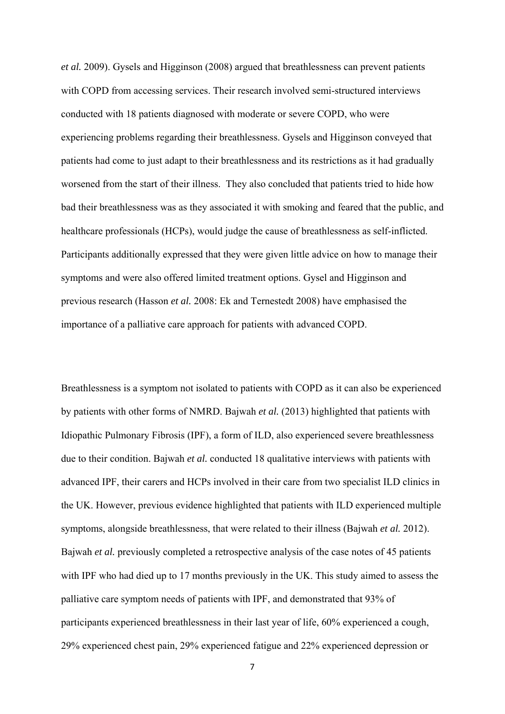*et al.* 2009). Gysels and Higginson (2008) argued that breathlessness can prevent patients with COPD from accessing services. Their research involved semi-structured interviews conducted with 18 patients diagnosed with moderate or severe COPD, who were experiencing problems regarding their breathlessness. Gysels and Higginson conveyed that patients had come to just adapt to their breathlessness and its restrictions as it had gradually worsened from the start of their illness. They also concluded that patients tried to hide how bad their breathlessness was as they associated it with smoking and feared that the public, and healthcare professionals (HCPs), would judge the cause of breathlessness as self-inflicted. Participants additionally expressed that they were given little advice on how to manage their symptoms and were also offered limited treatment options. Gysel and Higginson and previous research (Hasson *et al.* 2008: Ek and Ternestedt 2008) have emphasised the importance of a palliative care approach for patients with advanced COPD.

Breathlessness is a symptom not isolated to patients with COPD as it can also be experienced by patients with other forms of NMRD. Bajwah *et al.* (2013) highlighted that patients with Idiopathic Pulmonary Fibrosis (IPF), a form of ILD, also experienced severe breathlessness due to their condition. Bajwah *et al.* conducted 18 qualitative interviews with patients with advanced IPF, their carers and HCPs involved in their care from two specialist ILD clinics in the UK. However, previous evidence highlighted that patients with ILD experienced multiple symptoms, alongside breathlessness, that were related to their illness (Bajwah *et al.* 2012). Bajwah *et al.* previously completed a retrospective analysis of the case notes of 45 patients with IPF who had died up to 17 months previously in the UK. This study aimed to assess the palliative care symptom needs of patients with IPF, and demonstrated that 93% of participants experienced breathlessness in their last year of life, 60% experienced a cough, 29% experienced chest pain, 29% experienced fatigue and 22% experienced depression or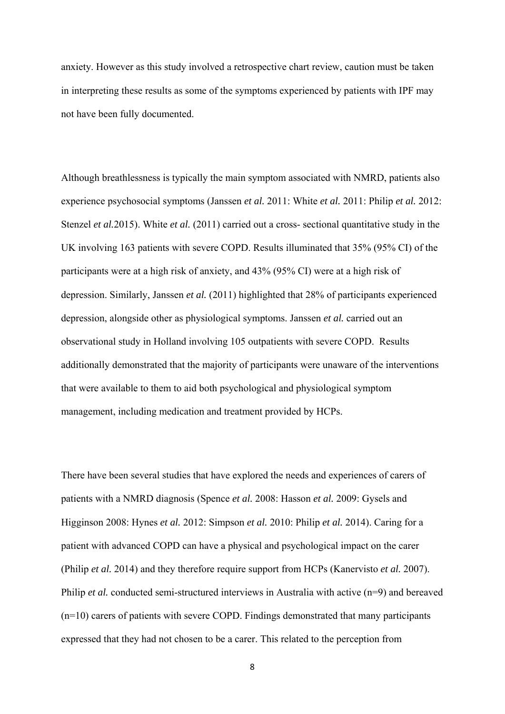anxiety. However as this study involved a retrospective chart review, caution must be taken in interpreting these results as some of the symptoms experienced by patients with IPF may not have been fully documented.

Although breathlessness is typically the main symptom associated with NMRD, patients also experience psychosocial symptoms (Janssen *et al.* 2011: White *et al.* 2011: Philip *et al.* 2012: Stenzel *et al.*2015). White *et al.* (2011) carried out a cross- sectional quantitative study in the UK involving 163 patients with severe COPD. Results illuminated that 35% (95% CI) of the participants were at a high risk of anxiety, and 43% (95% CI) were at a high risk of depression. Similarly, Janssen *et al.* (2011) highlighted that 28% of participants experienced depression, alongside other as physiological symptoms. Janssen *et al.* carried out an observational study in Holland involving 105 outpatients with severe COPD. Results additionally demonstrated that the majority of participants were unaware of the interventions that were available to them to aid both psychological and physiological symptom management, including medication and treatment provided by HCPs.

There have been several studies that have explored the needs and experiences of carers of patients with a NMRD diagnosis (Spence *et al.* 2008: Hasson *et al.* 2009: Gysels and Higginson 2008: Hynes *et al.* 2012: Simpson *et al.* 2010: Philip *et al.* 2014). Caring for a patient with advanced COPD can have a physical and psychological impact on the carer (Philip *et al.* 2014) and they therefore require support from HCPs (Kanervisto *et al.* 2007). Philip *et al.* conducted semi-structured interviews in Australia with active (n=9) and bereaved (n=10) carers of patients with severe COPD. Findings demonstrated that many participants expressed that they had not chosen to be a carer. This related to the perception from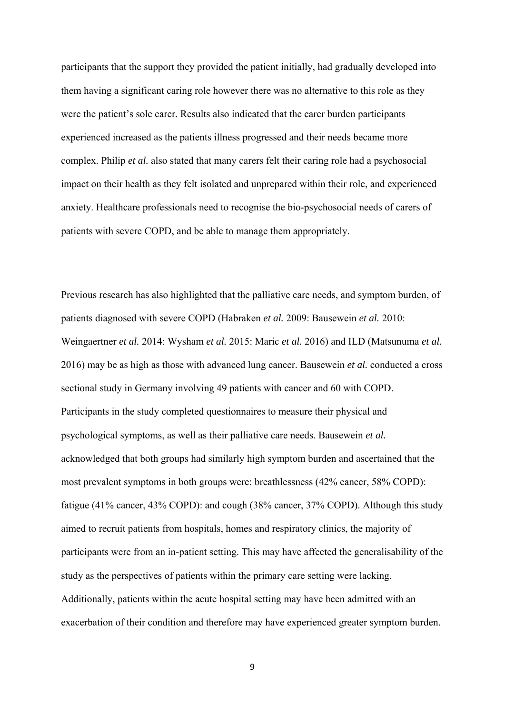participants that the support they provided the patient initially, had gradually developed into them having a significant caring role however there was no alternative to this role as they were the patient's sole carer. Results also indicated that the carer burden participants experienced increased as the patients illness progressed and their needs became more complex. Philip *et al.* also stated that many carers felt their caring role had a psychosocial impact on their health as they felt isolated and unprepared within their role, and experienced anxiety. Healthcare professionals need to recognise the bio-psychosocial needs of carers of patients with severe COPD, and be able to manage them appropriately.

Previous research has also highlighted that the palliative care needs, and symptom burden, of patients diagnosed with severe COPD (Habraken *et al.* 2009: Bausewein *et al.* 2010: Weingaertner *et al.* 2014: Wysham *et al.* 2015: Maric *et al.* 2016) and ILD (Matsunuma *et al.*  2016) may be as high as those with advanced lung cancer. Bausewein *et al.* conducted a cross sectional study in Germany involving 49 patients with cancer and 60 with COPD. Participants in the study completed questionnaires to measure their physical and psychological symptoms, as well as their palliative care needs. Bausewein *et al.*  acknowledged that both groups had similarly high symptom burden and ascertained that the most prevalent symptoms in both groups were: breathlessness (42% cancer, 58% COPD): fatigue (41% cancer, 43% COPD): and cough (38% cancer, 37% COPD). Although this study aimed to recruit patients from hospitals, homes and respiratory clinics, the majority of participants were from an in-patient setting. This may have affected the generalisability of the study as the perspectives of patients within the primary care setting were lacking. Additionally, patients within the acute hospital setting may have been admitted with an exacerbation of their condition and therefore may have experienced greater symptom burden.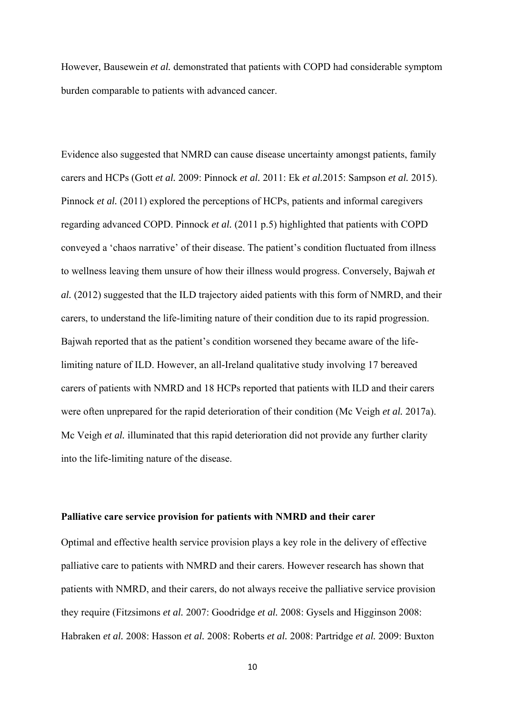However, Bausewein *et al.* demonstrated that patients with COPD had considerable symptom burden comparable to patients with advanced cancer.

Evidence also suggested that NMRD can cause disease uncertainty amongst patients, family carers and HCPs (Gott *et al.* 2009: Pinnock *et al.* 2011: Ek *et al.*2015: Sampson *et al.* 2015). Pinnock *et al.* (2011) explored the perceptions of HCPs, patients and informal caregivers regarding advanced COPD. Pinnock *et al.* (2011 p.5) highlighted that patients with COPD conveyed a 'chaos narrative' of their disease. The patient's condition fluctuated from illness to wellness leaving them unsure of how their illness would progress. Conversely, Bajwah *et al.* (2012) suggested that the ILD trajectory aided patients with this form of NMRD, and their carers, to understand the life-limiting nature of their condition due to its rapid progression. Bajwah reported that as the patient's condition worsened they became aware of the lifelimiting nature of ILD. However, an all-Ireland qualitative study involving 17 bereaved carers of patients with NMRD and 18 HCPs reported that patients with ILD and their carers were often unprepared for the rapid deterioration of their condition (Mc Veigh *et al.* 2017a). Mc Veigh *et al.* illuminated that this rapid deterioration did not provide any further clarity into the life-limiting nature of the disease.

#### **Palliative care service provision for patients with NMRD and their carer**

Optimal and effective health service provision plays a key role in the delivery of effective palliative care to patients with NMRD and their carers. However research has shown that patients with NMRD, and their carers, do not always receive the palliative service provision they require (Fitzsimons *et al.* 2007: Goodridge *et al.* 2008: Gysels and Higginson 2008: Habraken *et al.* 2008: Hasson *et al.* 2008: Roberts *et al.* 2008: Partridge *et al.* 2009: Buxton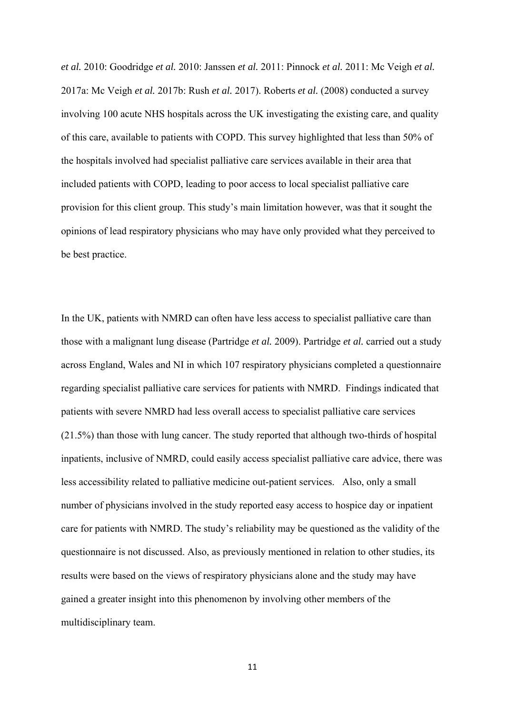*et al.* 2010: Goodridge *et al.* 2010: Janssen *et al.* 2011: Pinnock *et al.* 2011: Mc Veigh *et al.*  2017a: Mc Veigh *et al.* 2017b: Rush *et al.* 2017). Roberts *et al.* (2008) conducted a survey involving 100 acute NHS hospitals across the UK investigating the existing care, and quality of this care, available to patients with COPD. This survey highlighted that less than 50% of the hospitals involved had specialist palliative care services available in their area that included patients with COPD, leading to poor access to local specialist palliative care provision for this client group. This study's main limitation however, was that it sought the opinions of lead respiratory physicians who may have only provided what they perceived to be best practice.

In the UK, patients with NMRD can often have less access to specialist palliative care than those with a malignant lung disease (Partridge *et al.* 2009). Partridge *et al.* carried out a study across England, Wales and NI in which 107 respiratory physicians completed a questionnaire regarding specialist palliative care services for patients with NMRD. Findings indicated that patients with severe NMRD had less overall access to specialist palliative care services (21.5%) than those with lung cancer. The study reported that although two-thirds of hospital inpatients, inclusive of NMRD, could easily access specialist palliative care advice, there was less accessibility related to palliative medicine out-patient services. Also, only a small number of physicians involved in the study reported easy access to hospice day or inpatient care for patients with NMRD. The study's reliability may be questioned as the validity of the questionnaire is not discussed. Also, as previously mentioned in relation to other studies, its results were based on the views of respiratory physicians alone and the study may have gained a greater insight into this phenomenon by involving other members of the multidisciplinary team.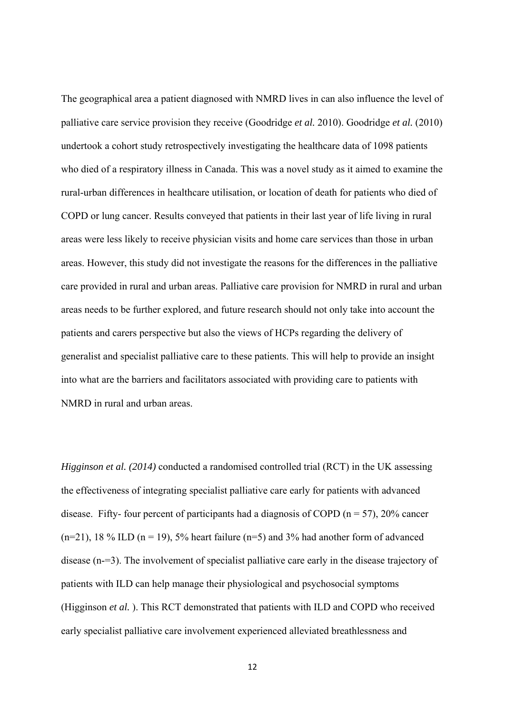The geographical area a patient diagnosed with NMRD lives in can also influence the level of palliative care service provision they receive (Goodridge *et al.* 2010). Goodridge *et al.* (2010) undertook a cohort study retrospectively investigating the healthcare data of 1098 patients who died of a respiratory illness in Canada. This was a novel study as it aimed to examine the rural-urban differences in healthcare utilisation, or location of death for patients who died of COPD or lung cancer. Results conveyed that patients in their last year of life living in rural areas were less likely to receive physician visits and home care services than those in urban areas. However, this study did not investigate the reasons for the differences in the palliative care provided in rural and urban areas. Palliative care provision for NMRD in rural and urban areas needs to be further explored, and future research should not only take into account the patients and carers perspective but also the views of HCPs regarding the delivery of generalist and specialist palliative care to these patients. This will help to provide an insight into what are the barriers and facilitators associated with providing care to patients with NMRD in rural and urban areas.

*Higginson et al. (2014)* conducted a randomised controlled trial (RCT) in the UK assessing the effectiveness of integrating specialist palliative care early for patients with advanced disease. Fifty- four percent of participants had a diagnosis of COPD ( $n = 57$ ), 20% cancer  $(n=21)$ , 18 % ILD  $(n=19)$ , 5% heart failure  $(n=5)$  and 3% had another form of advanced disease (n-=3). The involvement of specialist palliative care early in the disease trajectory of patients with ILD can help manage their physiological and psychosocial symptoms (Higginson *et al.* ). This RCT demonstrated that patients with ILD and COPD who received early specialist palliative care involvement experienced alleviated breathlessness and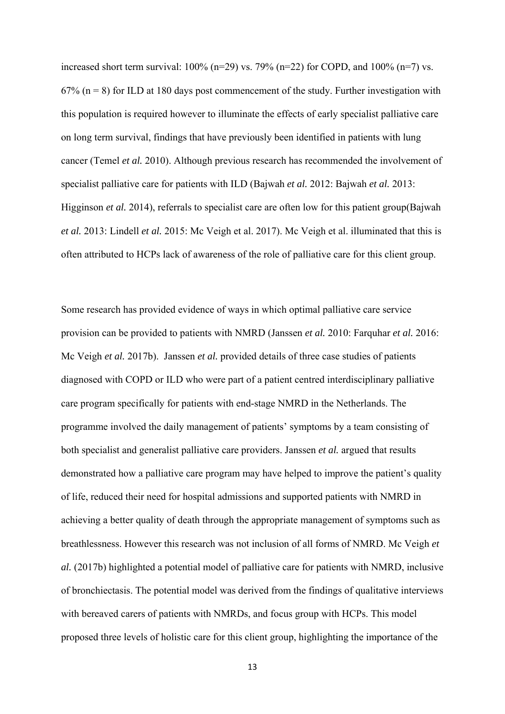increased short term survival:  $100\%$  (n=29) vs. 79% (n=22) for COPD, and  $100\%$  (n=7) vs.  $67\%$  (n = 8) for ILD at 180 days post commencement of the study. Further investigation with this population is required however to illuminate the effects of early specialist palliative care on long term survival, findings that have previously been identified in patients with lung cancer (Temel *et al.* 2010). Although previous research has recommended the involvement of specialist palliative care for patients with ILD (Bajwah *et al.* 2012: Bajwah *et al.* 2013: Higginson *et al.* 2014), referrals to specialist care are often low for this patient group(Bajwah *et al.* 2013: Lindell *et al.* 2015: Mc Veigh et al. 2017). Mc Veigh et al. illuminated that this is often attributed to HCPs lack of awareness of the role of palliative care for this client group.

Some research has provided evidence of ways in which optimal palliative care service provision can be provided to patients with NMRD (Janssen *et al.* 2010: Farquhar *et al.* 2016: Mc Veigh *et al.* 2017b). Janssen *et al.* provided details of three case studies of patients diagnosed with COPD or ILD who were part of a patient centred interdisciplinary palliative care program specifically for patients with end-stage NMRD in the Netherlands. The programme involved the daily management of patients' symptoms by a team consisting of both specialist and generalist palliative care providers. Janssen *et al.* argued that results demonstrated how a palliative care program may have helped to improve the patient's quality of life, reduced their need for hospital admissions and supported patients with NMRD in achieving a better quality of death through the appropriate management of symptoms such as breathlessness. However this research was not inclusion of all forms of NMRD. Mc Veigh *et al.* (2017b) highlighted a potential model of palliative care for patients with NMRD, inclusive of bronchiectasis. The potential model was derived from the findings of qualitative interviews with bereaved carers of patients with NMRDs, and focus group with HCPs. This model proposed three levels of holistic care for this client group, highlighting the importance of the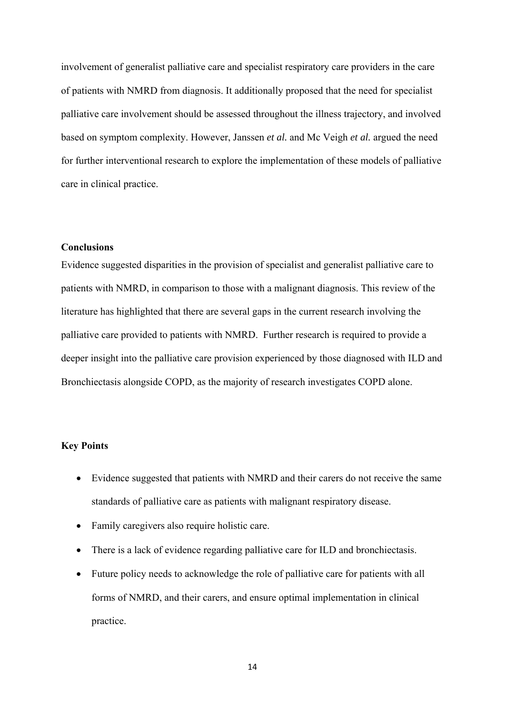involvement of generalist palliative care and specialist respiratory care providers in the care of patients with NMRD from diagnosis. It additionally proposed that the need for specialist palliative care involvement should be assessed throughout the illness trajectory, and involved based on symptom complexity. However, Janssen *et al.* and Mc Veigh *et al.* argued the need for further interventional research to explore the implementation of these models of palliative care in clinical practice.

## **Conclusions**

Evidence suggested disparities in the provision of specialist and generalist palliative care to patients with NMRD, in comparison to those with a malignant diagnosis. This review of the literature has highlighted that there are several gaps in the current research involving the palliative care provided to patients with NMRD. Further research is required to provide a deeper insight into the palliative care provision experienced by those diagnosed with ILD and Bronchiectasis alongside COPD, as the majority of research investigates COPD alone.

### **Key Points**

- Evidence suggested that patients with NMRD and their carers do not receive the same standards of palliative care as patients with malignant respiratory disease.
- Family caregivers also require holistic care.
- There is a lack of evidence regarding palliative care for ILD and bronchiectasis.
- Future policy needs to acknowledge the role of palliative care for patients with all forms of NMRD, and their carers, and ensure optimal implementation in clinical practice.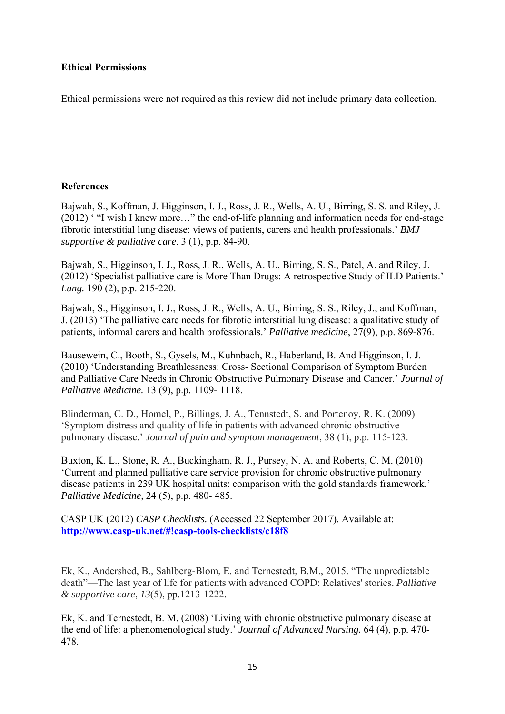## **Ethical Permissions**

Ethical permissions were not required as this review did not include primary data collection.

## **References**

Bajwah, S., Koffman, J. Higginson, I. J., Ross, J. R., Wells, A. U., Birring, S. S. and Riley, J. (2012) ' "I wish I knew more…" the end-of-life planning and information needs for end-stage fibrotic interstitial lung disease: views of patients, carers and health professionals.' *BMJ supportive & palliative care*. 3 (1), p.p. 84-90.

Bajwah, S., Higginson, I. J., Ross, J. R., Wells, A. U., Birring, S. S., Patel, A. and Riley, J. (2012) 'Specialist palliative care is More Than Drugs: A retrospective Study of ILD Patients.' *Lung.* 190 (2), p.p. 215-220.

Bajwah, S., Higginson, I. J., Ross, J. R., Wells, A. U., Birring, S. S., Riley, J., and Koffman, J. (2013) 'The palliative care needs for fibrotic interstitial lung disease: a qualitative study of patients, informal carers and health professionals.' *Palliative medicine*, 27(9), p.p. 869-876.

Bausewein, C., Booth, S., Gysels, M., Kuhnbach, R., Haberland, B. And Higginson, I. J. (2010) 'Understanding Breathlessness: Cross- Sectional Comparison of Symptom Burden and Palliative Care Needs in Chronic Obstructive Pulmonary Disease and Cancer.' *Journal of Palliative Medicine.* 13 (9), p.p. 1109- 1118.

Blinderman, C. D., Homel, P., Billings, J. A., Tennstedt, S. and Portenoy, R. K. (2009) 'Symptom distress and quality of life in patients with advanced chronic obstructive pulmonary disease.' *Journal of pain and symptom management*, 38 (1), p.p. 115-123.

Buxton, K. L., Stone, R. A., Buckingham, R. J., Pursey, N. A. and Roberts, C. M. (2010) 'Current and planned palliative care service provision for chronic obstructive pulmonary disease patients in 239 UK hospital units: comparison with the gold standards framework.' *Palliative Medicine,* 24 (5), p.p. 480- 485.

CASP UK (2012) *CASP Checklists.* (Accessed 22 September 2017). Available at: **http://www.casp-uk.net/#!casp-tools-checklists/c18f8**

Ek, K., Andershed, B., Sahlberg-Blom, E. and Ternestedt, B.M., 2015. "The unpredictable death"—The last year of life for patients with advanced COPD: Relatives' stories. *Palliative & supportive care*, *13*(5), pp.1213-1222.

Ek, K. and Ternestedt, B. M. (2008) 'Living with chronic obstructive pulmonary disease at the end of life: a phenomenological study.' *Journal of Advanced Nursing.* 64 (4), p.p. 470- 478.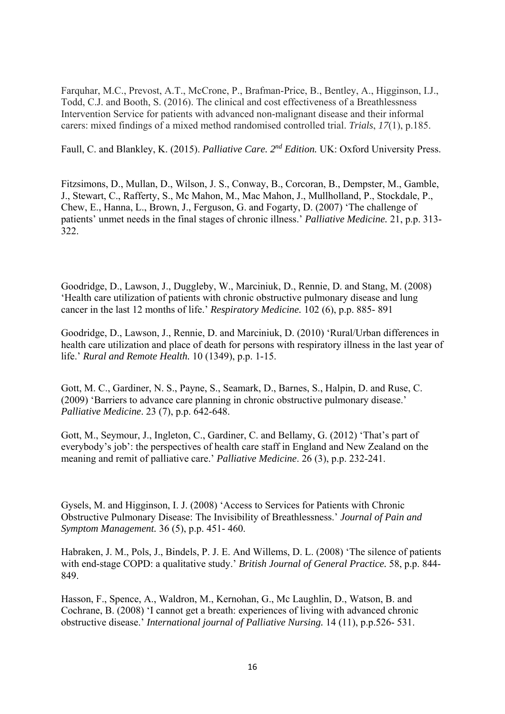Farquhar, M.C., Prevost, A.T., McCrone, P., Brafman-Price, B., Bentley, A., Higginson, I.J., Todd, C.J. and Booth, S. (2016). The clinical and cost effectiveness of a Breathlessness Intervention Service for patients with advanced non-malignant disease and their informal carers: mixed findings of a mixed method randomised controlled trial. *Trials*, *17*(1), p.185.

Faull, C. and Blankley, K. (2015). *Palliative Care. 2nd Edition.* UK: Oxford University Press.

Fitzsimons, D., Mullan, D., Wilson, J. S., Conway, B., Corcoran, B., Dempster, M., Gamble, J., Stewart, C., Rafferty, S., Mc Mahon, M., Mac Mahon, J., Mullholland, P., Stockdale, P., Chew, E., Hanna, L., Brown, J., Ferguson, G. and Fogarty, D. (2007) 'The challenge of patients' unmet needs in the final stages of chronic illness.' *Palliative Medicine.* 21, p.p. 313- 322.

Goodridge, D., Lawson, J., Duggleby, W., Marciniuk, D., Rennie, D. and Stang, M. (2008) 'Health care utilization of patients with chronic obstructive pulmonary disease and lung cancer in the last 12 months of life.' *Respiratory Medicine.* 102 (6), p.p. 885- 891

Goodridge, D., Lawson, J., Rennie, D. and Marciniuk, D. (2010) 'Rural/Urban differences in health care utilization and place of death for persons with respiratory illness in the last year of life.' *Rural and Remote Health.* 10 (1349), p.p. 1-15.

Gott, M. C., Gardiner, N. S., Payne, S., Seamark, D., Barnes, S., Halpin, D. and Ruse, C. (2009) 'Barriers to advance care planning in chronic obstructive pulmonary disease.' *Palliative Medicine*. 23 (7), p.p. 642-648.

Gott, M., Seymour, J., Ingleton, C., Gardiner, C. and Bellamy, G. (2012) 'That's part of everybody's job': the perspectives of health care staff in England and New Zealand on the meaning and remit of palliative care.' *Palliative Medicine*. 26 (3), p.p. 232-241.

Gysels, M. and Higginson, I. J. (2008) 'Access to Services for Patients with Chronic Obstructive Pulmonary Disease: The Invisibility of Breathlessness.' *Journal of Pain and Symptom Management.* 36 (5), p.p. 451- 460.

Habraken, J. M., Pols, J., Bindels, P. J. E. And Willems, D. L. (2008) 'The silence of patients with end-stage COPD: a qualitative study.' *British Journal of General Practice.* 58, p.p. 844- 849.

Hasson, F., Spence, A., Waldron, M., Kernohan, G., Mc Laughlin, D., Watson, B. and Cochrane, B. (2008) 'I cannot get a breath: experiences of living with advanced chronic obstructive disease.' *International journal of Palliative Nursing.* 14 (11), p.p.526- 531.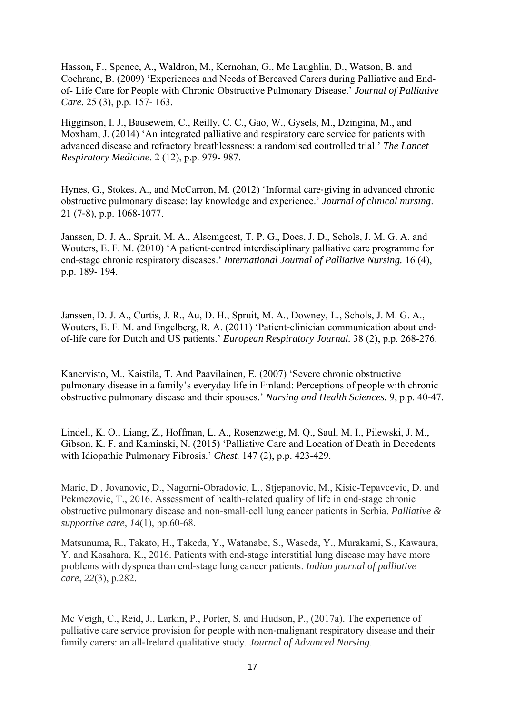Hasson, F., Spence, A., Waldron, M., Kernohan, G., Mc Laughlin, D., Watson, B. and Cochrane, B. (2009) 'Experiences and Needs of Bereaved Carers during Palliative and Endof- Life Care for People with Chronic Obstructive Pulmonary Disease.' *Journal of Palliative Care.* 25 (3), p.p. 157- 163.

Higginson, I. J., Bausewein, C., Reilly, C. C., Gao, W., Gysels, M., Dzingina, M., and Moxham, J. (2014) 'An integrated palliative and respiratory care service for patients with advanced disease and refractory breathlessness: a randomised controlled trial.' *The Lancet Respiratory Medicine*. 2 (12), p.p. 979- 987.

Hynes, G., Stokes, A., and McCarron, M. (2012) 'Informal care‐giving in advanced chronic obstructive pulmonary disease: lay knowledge and experience.' *Journal of clinical nursing*. 21 (7‐8), p.p. 1068-1077.

Janssen, D. J. A., Spruit, M. A., Alsemgeest, T. P. G., Does, J. D., Schols, J. M. G. A. and Wouters, E. F. M. (2010) 'A patient-centred interdisciplinary palliative care programme for end-stage chronic respiratory diseases.' *International Journal of Palliative Nursing.* 16 (4), p.p. 189- 194.

Janssen, D. J. A., Curtis, J. R., Au, D. H., Spruit, M. A., Downey, L., Schols, J. M. G. A., Wouters, E. F. M. and Engelberg, R. A. (2011) 'Patient-clinician communication about endof-life care for Dutch and US patients.' *European Respiratory Journal.* 38 (2), p.p. 268-276.

Kanervisto, M., Kaistila, T. And Paavilainen, E. (2007) 'Severe chronic obstructive pulmonary disease in a family's everyday life in Finland: Perceptions of people with chronic obstructive pulmonary disease and their spouses.' *Nursing and Health Sciences.* 9, p.p. 40-47.

Lindell, K. O., Liang, Z., Hoffman, L. A., Rosenzweig, M. Q., Saul, M. I., Pilewski, J. M., Gibson, K. F. and Kaminski, N. (2015) 'Palliative Care and Location of Death in Decedents with Idiopathic Pulmonary Fibrosis.' *Chest.* 147 (2), p.p. 423-429.

Maric, D., Jovanovic, D., Nagorni-Obradovic, L., Stjepanovic, M., Kisic-Tepavcevic, D. and Pekmezovic, T., 2016. Assessment of health-related quality of life in end-stage chronic obstructive pulmonary disease and non-small-cell lung cancer patients in Serbia. *Palliative & supportive care*, *14*(1), pp.60-68.

Matsunuma, R., Takato, H., Takeda, Y., Watanabe, S., Waseda, Y., Murakami, S., Kawaura, Y. and Kasahara, K., 2016. Patients with end-stage interstitial lung disease may have more problems with dyspnea than end-stage lung cancer patients. *Indian journal of palliative care*, *22*(3), p.282.

Mc Veigh, C., Reid, J., Larkin, P., Porter, S. and Hudson, P., (2017a). The experience of palliative care service provision for people with non‐malignant respiratory disease and their family carers: an all‐Ireland qualitative study. *Journal of Advanced Nursing*.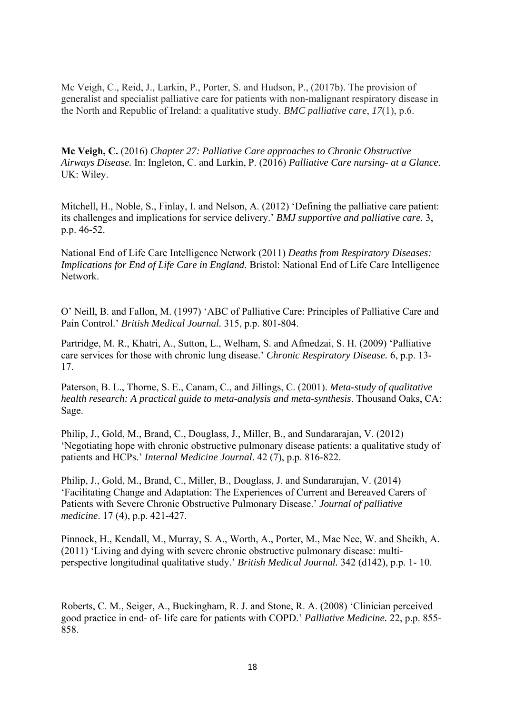Mc Veigh, C., Reid, J., Larkin, P., Porter, S. and Hudson, P., (2017b). The provision of generalist and specialist palliative care for patients with non-malignant respiratory disease in the North and Republic of Ireland: a qualitative study. *BMC palliative care*, *17*(1), p.6.

**Mc Veigh, C.** (2016) *Chapter 27: Palliative Care approaches to Chronic Obstructive Airways Disease.* In: Ingleton, C. and Larkin, P. (2016) *Palliative Care nursing- at a Glance.*  UK: Wiley.

Mitchell, H., Noble, S., Finlay, I. and Nelson, A. (2012) 'Defining the palliative care patient: its challenges and implications for service delivery.' *BMJ supportive and palliative care.* 3, p.p. 46-52.

National End of Life Care Intelligence Network (2011) *Deaths from Respiratory Diseases: Implications for End of Life Care in England.* Bristol: National End of Life Care Intelligence Network.

O' Neill, B. and Fallon, M. (1997) 'ABC of Palliative Care: Principles of Palliative Care and Pain Control.' *British Medical Journal.* 315, p.p. 801-804.

Partridge, M. R., Khatri, A., Sutton, L., Welham, S. and Afmedzai, S. H. (2009) 'Palliative care services for those with chronic lung disease.' *Chronic Respiratory Disease.* 6, p.p. 13- 17.

Paterson, B. L., Thorne, S. E., Canam, C., and Jillings, C. (2001). *Meta-study of qualitative health research: A practical guide to meta-analysis and meta-synthesis*. Thousand Oaks, CA: Sage.

Philip, J., Gold, M., Brand, C., Douglass, J., Miller, B., and Sundararajan, V. (2012) 'Negotiating hope with chronic obstructive pulmonary disease patients: a qualitative study of patients and HCPs.' *Internal Medicine Journal*. 42 (7), p.p. 816-822.

Philip, J., Gold, M., Brand, C., Miller, B., Douglass, J. and Sundararajan, V. (2014) 'Facilitating Change and Adaptation: The Experiences of Current and Bereaved Carers of Patients with Severe Chronic Obstructive Pulmonary Disease.' *Journal of palliative medicine*. 17 (4), p.p. 421-427.

Pinnock, H., Kendall, M., Murray, S. A., Worth, A., Porter, M., Mac Nee, W. and Sheikh, A. (2011) 'Living and dying with severe chronic obstructive pulmonary disease: multiperspective longitudinal qualitative study.' *British Medical Journal.* 342 (d142), p.p. 1- 10.

Roberts, C. M., Seiger, A., Buckingham, R. J. and Stone, R. A. (2008) 'Clinician perceived good practice in end- of- life care for patients with COPD.' *Palliative Medicine.* 22, p.p. 855- 858.